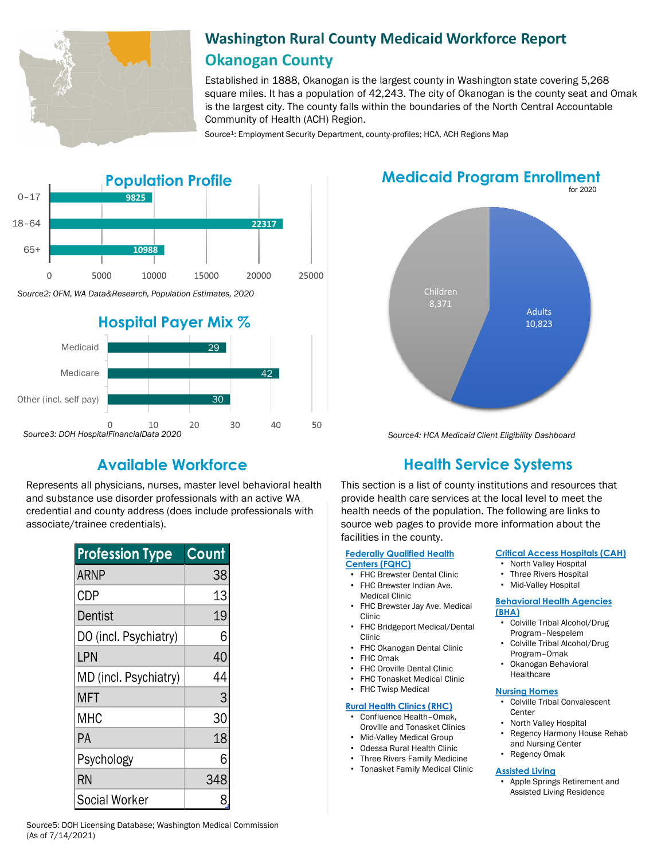

# **Washington Rural County Medicaid Workforce Report Okanogan County**

Established in 1888, Okanogan is the largest county in Washington state covering 5,268 square miles. It has a population of 42,243. The city of Okanogan is the county seat and Omak is the largest city. The county falls within the boundaries of the North Central Accountable Community of Health (ACH) Region.

Source<sup>1</sup>: Employment Security Department, county-profiles; HCA, ACH Regions Map



# for 2020 **Medicaid Program Enrollment**



*Source4: HCA Medicaid Client Eligibility Dashboard*

Represents all physicians, nurses, master level behavioral health and substance use disorder professionals with an active WA credential and county address (does include professionals with associate/trainee credentials).

| <b>Profession Type</b> | Count |
|------------------------|-------|
| <b>ARNP</b>            | 38    |
| <b>CDP</b>             | 13    |
| Dentist                | 19    |
| DO (incl. Psychiatry)  | 6     |
| LPN                    | 40    |
| MD (incl. Psychiatry)  | 44    |
| <b>MFT</b>             | 3     |
| MHC                    | 30    |
| РA                     | 18    |
| Psychology             | 6     |
| <b>RN</b>              | 348   |
| <b>Social Worker</b>   | 8     |

# **Available Workforce Health Service Systems**

This section is a list of county institutions and resources that provide health care services at the local level to meet the health needs of the population. The following are links to source web pages to provide more information about the facilities in the county.

#### **[Federally Qualified Health](https://www.wacommunityhealth.org/) Centers (FQHC)**

- FHC Brewster Dental Clinic
- FHC Brewster Indian Ave.
- Medical Clinic FHC Brewster Jay Ave. Medical
- Clinic • FHC Bridgeport Medical/Dental Clinic
- FHC Okanogan Dental Clinic
- FHC Omak
- **FHC Oroville Dental Clinic**
- FHC Tonasket Medical Clinic
- **FHC Twisp Medical**

## **[Rural Health Clinics \(RHC\)](https://data.hrsa.gov/)**

- Confluence Health–Omak, Oroville and Tonasket Clinics
- Mid-Valley Medical Group
- Odessa Rural Health Clinic
- Three Rivers Family Medicine
- Tonasket Family Medical Clinic

## **[Critical Access Hospitals \(CAH\)](https://www.doh.wa.gov/ForPublicHealthandHealthcareProviders/RuralHealth/RuralHealthSystems)**

- North Valley Hospital
- Three Rivers Hospital
- Mid-Valley Hospital

#### **[Behavioral Health Agencies](https://www.doh.wa.gov/LicensesPermitsandCertificates/ProviderCredentialSearch)  (BHA)**

- Colville Tribal Alcohol/Drug Program–Nespelem
- Colville Tribal Alcohol/Drug Program–Omak
- Okanogan Behavioral Healthcare

# **[Nursing Homes](https://fortress.wa.gov/dshs/adsaapps/lookup/NHPubLookup.aspx)**

- Colville Tribal Convalescent **Center**
- North Valley Hospital
- Regency Harmony House Rehab and Nursing Center
- Regency Omak

## **[Assisted Living](https://fortress.wa.gov/dshs/adsaapps/lookup/BHPubLookup.aspx)**

• Apple Springs Retirement and Assisted Living Residence

Source5: DOH Licensing Database; Washington Medical Commission (As of 7/14/2021)